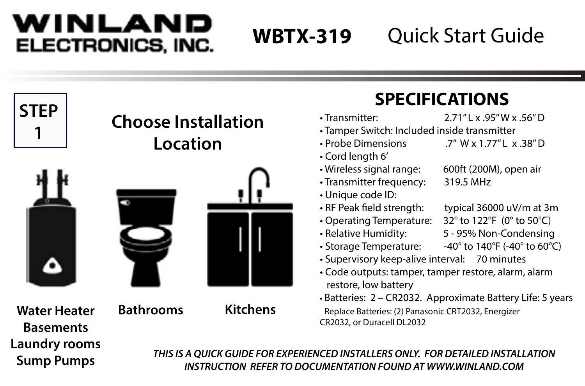## WINLAND ELECTRONICS, INC.

# **WBTX-319**

# Quick Start Guide

|                                         |                                                                                                                                                 |                 | 21 ESH ISAHSIYA                                                                                                                                                                  |                                                                                                                                                                                                                                  |
|-----------------------------------------|-------------------------------------------------------------------------------------------------------------------------------------------------|-----------------|----------------------------------------------------------------------------------------------------------------------------------------------------------------------------------|----------------------------------------------------------------------------------------------------------------------------------------------------------------------------------------------------------------------------------|
| <b>STEP</b>                             | <b>Choose Installation</b><br>Location                                                                                                          |                 | · Transmitter:<br>· Tamper Switch: Included inside transmitter<br>• Probe Dimensions<br>• Cord length 6'                                                                         | 2.71"Lx.95"Wx.56"D<br>.7" W x 1.77" L x .38" D                                                                                                                                                                                   |
|                                         |                                                                                                                                                 |                 | · Wireless signal range:<br>• Transmitter frequency:<br>· Unique code ID:                                                                                                        | 600ft (200M), open air<br>319.5 MHz                                                                                                                                                                                              |
|                                         |                                                                                                                                                 |                 | • RF Peak field strength:<br>• Operating Temperature:<br>• Relative Humidity:<br>• Storage Temperature:<br>· Supervisory keep-alive interval: 70 minutes<br>restore, low battery | typical 36000 uV/m at 3n<br>32° to 122°F (0° to 50°C)<br>5 - 95% Non-Condensing<br>-40° to 140°F (-40° to 60°C<br>• Code outputs: tamper, tamper restore, alarm, alarm<br>· Batteries: 2 - CR2032. Approximate Battery Life: 5 y |
| <b>Water Heater</b><br><b>Basements</b> | <b>Bathrooms</b>                                                                                                                                | <b>Kitchens</b> | Replace Batteries: (2) Panasonic CRT2032, Energizer<br>CR2032, or Duracell DL2032                                                                                                |                                                                                                                                                                                                                                  |
| Laundry rooms<br><b>Sump Pumps</b>      | THIS IS A OUICK GUIDE FOR EXPERIENCED INSTALLERS ONLY. FOR DETAILED INSTALLATION<br>INSTRUCTION REFER TO DOCUMENTATION FOUND AT WWW.WINLAND.COM |                 |                                                                                                                                                                                  |                                                                                                                                                                                                                                  |

## **SPECIFICATIONS**

- Transmitter: 2.71" L x .95" W x .56" D
- Tamper Switch: Included inside transmitter
- Probe Dimensions ... 7" W x 1.77" L x .38" D
- Cord length 6'
- 
- Transmitter frequency: 319.5 MHz
- Unique code ID:
- 
- 
- 
- 
- $\cdot$  RF Peak field strength: typical 36000 uV/m at 3m
- Operating Temperature: 32° to 122°F (0° to 50°C)
- Relative Humidity: 5 95% Non-Condensing
- Storage Temperature: -40° to 140°F (-40° to 60°C)
- Supervisory keep-alive interval: 70 minutes
- Code outputs: tamper, tamper restore, alarm, alarm restore, low battery
- Batteries: 2 CR2032. Approximate Battery Life: 5 years Replace Batteries: (2) Panasonic CRT2032, Energizer CR2032, or Duracell DL2032
- Wireless signal range: 600ft (200M), open air
	-